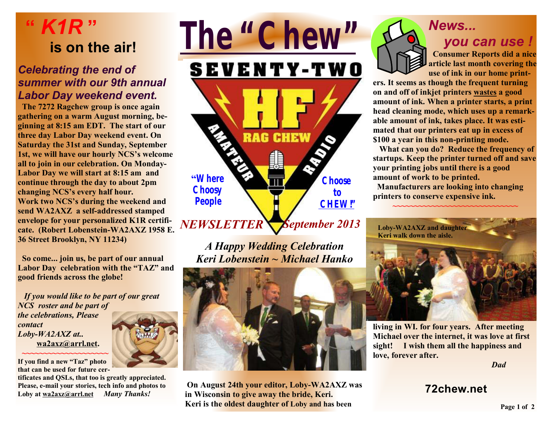## **"** *K1R* **" is on the air!**

#### *Celebrating the end of summer with our 9th annual Labor Day weekend event.*

 **The 7272 Ragchew group is once again gathering on a warm August morning, beginning at 8:15 am EDT. The start of our three day Labor Day weekend event. On Saturday the 31st and Sunday, September 1st, we will have our hourly NCS's welcome all to join in our celebration. On Monday-Labor Day we will start at 8:15 am and continue through the day to about 2pm changing NCS's every half hour. Work two NCS's during the weekend and send WA2AXZ a self-addressed stamped envelope for your personalized K1R certificate. (Robert Lobenstein-WA2AXZ 1958 E. 36 Street Brooklyn, NY 11234)** 

 **So come... join us, be part of our annual Labor Day celebration with the "TAZ" and good friends across the globe!**

*If you would like to be part of our great NCS roster and be part of the celebrations, Please contact Loby-WA2AXZ at..* **[wa2axz@arrl.net.](mailto:wa2axz@arrl.net) ~~~~~~~~~~~~~~~~~~~~** 

**If you find a new "Taz" photo that can be used for future cer-**

**tificates and QSLs, that too is greatly appreciated. Please, e-mail your stories, tech info and photos to Loby at [wa2axz@arrl.net](mailto:wa2axz@arrl.net)** *Many Thanks!* 





*A Happy Wedding Celebration Keri Lobenstein ~ Michael Hanko* 



**On August 24th your editor, Loby-WA2AXZ was in Wisconsin to give away the bride, Keri. Keri is the oldest daughter of Loby and has been** 

# *News...*



#### *you can use !*

**Consumer Reports did a nice article last month covering the use of ink in our home print-**

**ers. It seems as though the frequent turning on and off of inkjet printers wastes a good amount of ink. When a printer starts, a print head cleaning mode, which uses up a remarkable amount of ink, takes place. It was estimated that our printers eat up in excess of \$100 a year in this non-printing mode.** 

**What can you do? Reduce the frequency of startups. Keep the printer turned off and save your printing jobs until there is a good amount of work to be printed.** 

**~~~~~~~~~~~~~~~~~~~~~~~~~~~~~** 

**Manufacturers are looking into changing printers to conserve expensive ink.** 

**Loby-WA2AXZ and daughter Keri walk down the aisle.** 



**living in WI. for four years. After meeting Michael over the internet, it was love at first sight! I wish them all the happiness and love, forever after.** 

*Dad*

#### **72chew.net**